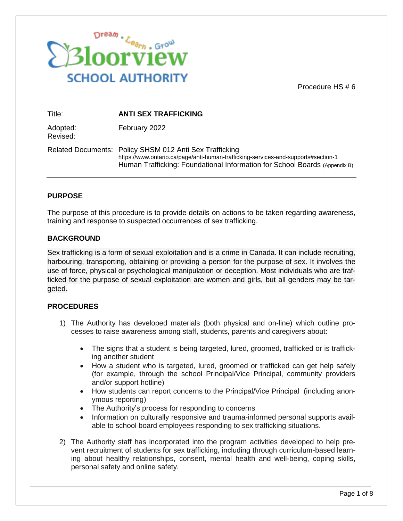

Procedure HS # 6

| Title:               | <b>ANTI SEX TRAFFICKING</b>                                                                                                                                                                                                 |
|----------------------|-----------------------------------------------------------------------------------------------------------------------------------------------------------------------------------------------------------------------------|
| Adopted:<br>Revised: | February 2022                                                                                                                                                                                                               |
|                      | Related Documents: Policy SHSM 012 Anti Sex Trafficking<br>https://www.ontario.ca/page/anti-human-trafficking-services-and-supports#section-1<br>Human Trafficking: Foundational Information for School Boards (Appendix B) |

### **PURPOSE**

The purpose of this procedure is to provide details on actions to be taken regarding awareness, training and response to suspected occurrences of sex trafficking.

#### **BACKGROUND**

Sex trafficking is a form of sexual exploitation and is a crime in Canada. It can include recruiting, harbouring, transporting, obtaining or providing a person for the purpose of sex. It involves the use of force, physical or psychological manipulation or deception. Most individuals who are trafficked for the purpose of sexual exploitation are women and girls, but all genders may be targeted.

#### **PROCEDURES**

- 1) The Authority has developed materials (both physical and on-line) which outline processes to raise awareness among staff, students, parents and caregivers about:
	- The signs that a student is being targeted, lured, groomed, trafficked or is trafficking another student
	- How a student who is targeted, lured, groomed or trafficked can get help safely (for example, through the school Principal/Vice Principal, community providers and/or support hotline)
	- How students can report concerns to the Principal/Vice Principal (including anonymous reporting)
	- The Authority's process for responding to concerns
	- Information on culturally responsive and trauma-informed personal supports available to school board employees responding to sex trafficking situations.
- 2) The Authority staff has incorporated into the program activities developed to help prevent recruitment of students for sex trafficking, including through curriculum-based learning about healthy relationships, consent, mental health and well-being, coping skills, personal safety and online safety.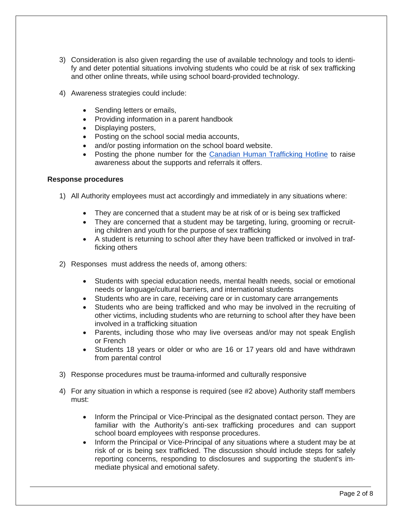- 3) Consideration is also given regarding the use of available technology and tools to identify and deter potential situations involving students who could be at risk of sex trafficking and other online threats, while using school board-provided technology.
- 4) Awareness strategies could include:
	- Sending letters or emails,
	- Providing information in a parent handbook
	- Displaying posters,
	- Posting on the school social media accounts,
	- and/or posting information on the school board website.
	- Posting the phone number for the [Canadian Human Trafficking Hotline](https://www.canadianhumantraffickinghotline.ca/) to raise awareness about the supports and referrals it offers.

#### **Response procedures**

- 1) All Authority employees must act accordingly and immediately in any situations where:
	- They are concerned that a student may be at risk of or is being sex trafficked
	- They are concerned that a student may be targeting, luring, grooming or recruiting children and youth for the purpose of sex trafficking
	- A student is returning to school after they have been trafficked or involved in trafficking others
- 2) Responses must address the needs of, among others:
	- Students with special education needs, mental health needs, social or emotional needs or language/cultural barriers, and international students
	- Students who are in care, receiving care or in customary care arrangements
	- Students who are being trafficked and who may be involved in the recruiting of other victims, including students who are returning to school after they have been involved in a trafficking situation
	- Parents, including those who may live overseas and/or may not speak English or French
	- Students 18 years or older or who are 16 or 17 years old and have withdrawn from parental control
- 3) Response procedures must be trauma-informed and culturally responsive
- 4) For any situation in which a response is required (see #2 above) Authority staff members must:
	- Inform the Principal or Vice-Principal as the designated contact person. They are familiar with the Authority's anti-sex trafficking procedures and can support school board employees with response procedures.
	- Inform the Principal or Vice-Principal of any situations where a student may be at risk of or is being sex trafficked. The discussion should include steps for safely reporting concerns, responding to disclosures and supporting the student's immediate physical and emotional safety.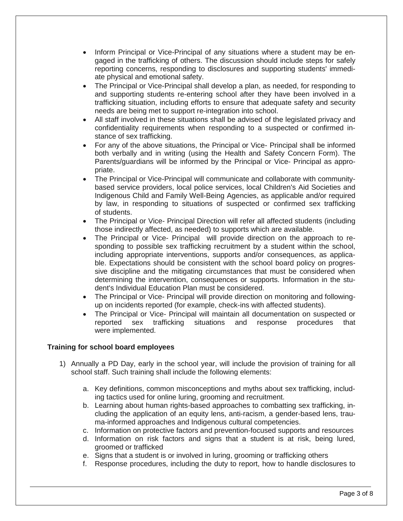- Inform Principal or Vice-Principal of any situations where a student may be engaged in the trafficking of others. The discussion should include steps for safely reporting concerns, responding to disclosures and supporting students' immediate physical and emotional safety.
- The Principal or Vice-Principal shall develop a plan, as needed, for responding to and supporting students re-entering school after they have been involved in a trafficking situation, including efforts to ensure that adequate safety and security needs are being met to support re-integration into school.
- All staff involved in these situations shall be advised of the legislated privacy and confidentiality requirements when responding to a suspected or confirmed instance of sex trafficking.
- For any of the above situations, the Principal or Vice- Principal shall be informed both verbally and in writing (using the Health and Safety Concern Form). The Parents/guardians will be informed by the Principal or Vice- Principal as appropriate.
- The Principal or Vice-Principal will communicate and collaborate with communitybased service providers, local police services, local Children's Aid Societies and Indigenous Child and Family Well-Being Agencies, as applicable and/or required by law, in responding to situations of suspected or confirmed sex trafficking of students.
- The Principal or Vice- Principal Direction will refer all affected students (including those indirectly affected, as needed) to supports which are available.
- The Principal or Vice- Principal will provide direction on the approach to responding to possible sex trafficking recruitment by a student within the school, including appropriate interventions, supports and/or consequences, as applicable. Expectations should be consistent with the school board policy on progressive discipline and the mitigating circumstances that must be considered when determining the intervention, consequences or supports. Information in the student's Individual Education Plan must be considered.
- The Principal or Vice- Principal will provide direction on monitoring and followingup on incidents reported (for example, check-ins with affected students).
- The Principal or Vice- Principal will maintain all documentation on suspected or reported sex trafficking situations and response procedures that were implemented.

## **Training for school board employees**

- 1) Annually a PD Day, early in the school year, will include the provision of training for all school staff. Such training shall include the following elements:
	- a. Key definitions, common misconceptions and myths about sex trafficking, including tactics used for online luring, grooming and recruitment.
	- b. Learning about human rights-based approaches to combatting sex trafficking, including the application of an equity lens, anti-racism, a gender-based lens, trauma-informed approaches and Indigenous cultural competencies.
	- c. Information on protective factors and prevention-focused supports and resources
	- d. Information on risk factors and signs that a student is at risk, being lured, groomed or trafficked
	- e. Signs that a student is or involved in luring, grooming or trafficking others
	- f. Response procedures, including the duty to report, how to handle disclosures to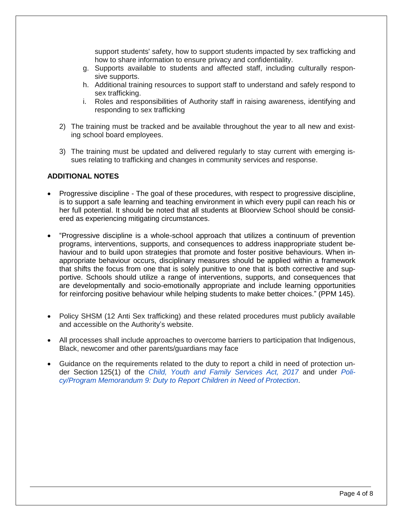support students' safety, how to support students impacted by sex trafficking and how to share information to ensure privacy and confidentiality.

- g. Supports available to students and affected staff, including culturally responsive supports.
- h. Additional training resources to support staff to understand and safely respond to sex trafficking.
- i. Roles and responsibilities of Authority staff in raising awareness, identifying and responding to sex trafficking
- 2) The training must be tracked and be available throughout the year to all new and existing school board employees.
- 3) The training must be updated and delivered regularly to stay current with emerging issues relating to trafficking and changes in community services and response.

### **ADDITIONAL NOTES**

- Progressive discipline The goal of these procedures, with respect to progressive discipline, is to support a safe learning and teaching environment in which every pupil can reach his or her full potential. It should be noted that all students at Bloorview School should be considered as experiencing mitigating circumstances.
- "Progressive discipline is a whole-school approach that utilizes a continuum of prevention programs, interventions, supports, and consequences to address inappropriate student behaviour and to build upon strategies that promote and foster positive behaviours. When inappropriate behaviour occurs, disciplinary measures should be applied within a framework that shifts the focus from one that is solely punitive to one that is both corrective and supportive. Schools should utilize a range of interventions, supports, and consequences that are developmentally and socio-emotionally appropriate and include learning opportunities for reinforcing positive behaviour while helping students to make better choices." (PPM 145).
- Policy SHSM (12 Anti Sex trafficking) and these related procedures must publicly available and accessible on the Authority's website.
- All processes shall include approaches to overcome barriers to participation that Indigenous, Black, newcomer and other parents/guardians may face
- Guidance on the requirements related to the duty to report a child in need of protection under Section 125(1) of the *[Child, Youth and Family Services Act, 2017](https://www.ontario.ca/laws/statute/17c14)* and under *[Poli](https://www.ontario.ca/document/education-ontario-policy-and-program-direction/policyprogram-memorandum-9)[cy/Program Memorandum 9: Duty to Report Children in Need of Protection](https://www.ontario.ca/document/education-ontario-policy-and-program-direction/policyprogram-memorandum-9)*.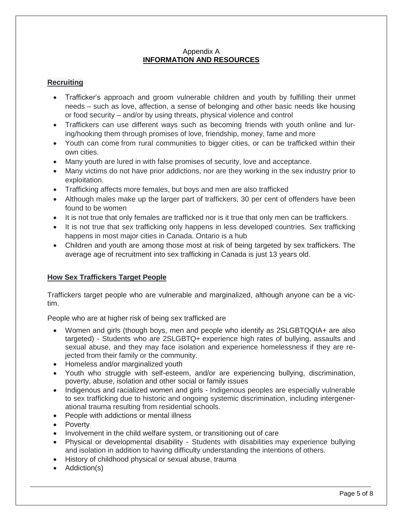### Appendix A **INFORMATION AND RESOURCES**

## **Recruiting**

- Trafficker's approach and groom vulnerable children and youth by fulfilling their unmet needs – such as love, affection, a sense of belonging and other basic needs like housing or food security – and/or by using threats, physical violence and control
- Traffickers can use different ways such as becoming friends with youth online and luring/hooking them through promises of love, friendship, money, fame and more
- Youth can come from rural communities to bigger cities, or can be trafficked within their own cities.
- Many youth are lured in with false promises of security, love and acceptance.
- Many victims do not have prior addictions, nor are they working in the sex industry prior to exploitation.
- Trafficking affects more females, but boys and men are also trafficked
- Although males make up the larger part of traffickers, 30 per cent of offenders have been found to be women
- It is not true that only females are trafficked nor is it true that only men can be traffickers.
- It is not true that sex trafficking only happens in less developed countries. Sex trafficking happens in most major cities in Canada. Ontario is a hub
- Children and youth are among those most at risk of being targeted by sex traffickers. The average age of recruitment into sex trafficking in Canada is just 13 years old.

## **How Sex Traffickers Target People**

Traffickers target people who are vulnerable and marginalized, although anyone can be a victim.

People who are at higher risk of being sex trafficked are

- Women and girls (though boys, men and people who identify as 2SLGBTQQIA+ are also targeted) - Students who are 2SLGBTQ+ experience high rates of bullying, assaults and sexual abuse, and they may face isolation and experience homelessness if they are rejected from their family or the community.
- Homeless and/or marginalized youth
- Youth who struggle with self-esteem, and/or are experiencing bullying, discrimination, poverty, abuse, isolation and other social or family issues
- Indigenous and racialized women and girls Indigenous peoples are especially vulnerable to sex trafficking due to historic and ongoing systemic discrimination, including intergenerational trauma resulting from residential schools.
- People with addictions or mental illness
- Poverty
- Involvement in the child welfare system, or transitioning out of care
- Physical or developmental disability Students with disabilities may experience bullying and isolation in addition to having difficulty understanding the intentions of others.
- History of childhood physical or sexual abuse, trauma
- Addiction(s)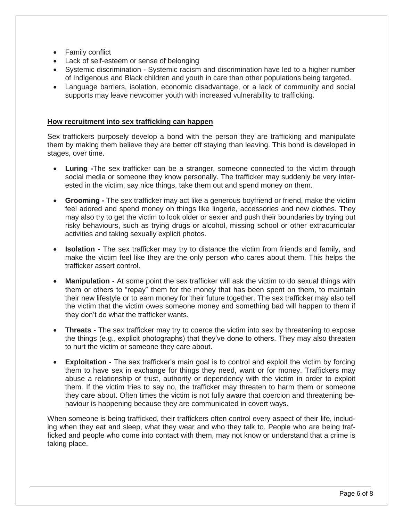- Family conflict
- Lack of self-esteem or sense of belonging
- Systemic discrimination Systemic racism and discrimination have led to a higher number of Indigenous and Black children and youth in care than other populations being targeted.
- Language barriers, isolation, economic disadvantage, or a lack of community and social supports may leave newcomer youth with increased vulnerability to trafficking.

### **How recruitment into sex trafficking can happen**

Sex traffickers purposely develop a bond with the person they are trafficking and manipulate them by making them believe they are better off staying than leaving. This bond is developed in stages, over time.

- **Luring -**The sex trafficker can be a stranger, someone connected to the victim through social media or someone they know personally. The trafficker may suddenly be very interested in the victim, say nice things, take them out and spend money on them.
- **Grooming -** The sex trafficker may act like a generous boyfriend or friend, make the victim feel adored and spend money on things like lingerie, accessories and new clothes. They may also try to get the victim to look older or sexier and push their boundaries by trying out risky behaviours, such as trying drugs or alcohol, missing school or other extracurricular activities and taking sexually explicit photos.
- **Isolation -** The sex trafficker may try to distance the victim from friends and family, and make the victim feel like they are the only person who cares about them. This helps the trafficker assert control.
- **Manipulation -** At some point the sex trafficker will ask the victim to do sexual things with them or others to "repay" them for the money that has been spent on them, to maintain their new lifestyle or to earn money for their future together. The sex trafficker may also tell the victim that the victim owes someone money and something bad will happen to them if they don't do what the trafficker wants.
- **Threats -** The sex trafficker may try to coerce the victim into sex by threatening to expose the things (e.g., explicit photographs) that they've done to others. They may also threaten to hurt the victim or someone they care about.
- **Exploitation -** The sex trafficker's main goal is to control and exploit the victim by forcing them to have sex in exchange for things they need, want or for money. Traffickers may abuse a relationship of trust, authority or dependency with the victim in order to exploit them. If the victim tries to say no, the trafficker may threaten to harm them or someone they care about. Often times the victim is not fully aware that coercion and threatening behaviour is happening because they are communicated in covert ways.

When someone is being trafficked, their traffickers often control every aspect of their life, including when they eat and sleep, what they wear and who they talk to. People who are being trafficked and people who come into contact with them, may not know or understand that a crime is taking place.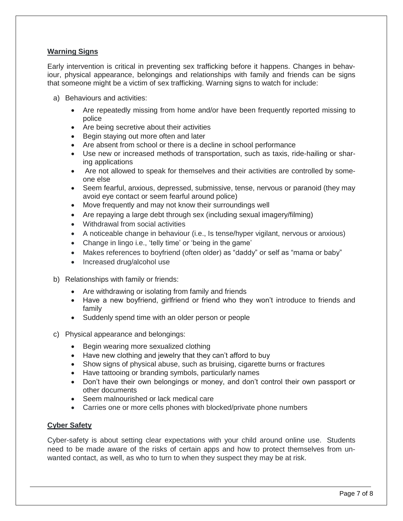# **Warning Signs**

Early intervention is critical in preventing sex trafficking before it happens. Changes in behaviour, physical appearance, belongings and relationships with family and friends can be signs that someone might be a victim of sex trafficking. Warning signs to watch for include:

- a) Behaviours and activities:
	- Are repeatedly missing from home and/or have been frequently reported missing to police
	- Are being secretive about their activities
	- Begin staying out more often and later
	- Are absent from school or there is a decline in school performance
	- Use new or increased methods of transportation, such as taxis, ride-hailing or sharing applications
	- Are not allowed to speak for themselves and their activities are controlled by someone else
	- Seem fearful, anxious, depressed, submissive, tense, nervous or paranoid (they may avoid eye contact or seem fearful around police)
	- Move frequently and may not know their surroundings well
	- Are repaying a large debt through sex (including sexual imagery/filming)
	- Withdrawal from social activities
	- A noticeable change in behaviour (i.e., Is tense/hyper vigilant, nervous or anxious)
	- Change in lingo i.e., 'telly time' or 'being in the game'
	- Makes references to boyfriend (often older) as "daddy" or self as "mama or baby"
	- Increased drug/alcohol use
- b) Relationships with family or friends:
	- Are withdrawing or isolating from family and friends
	- Have a new boyfriend, girlfriend or friend who they won't introduce to friends and family
	- Suddenly spend time with an older person or people
- c) Physical appearance and belongings:
	- Begin wearing more sexualized clothing
	- Have new clothing and jewelry that they can't afford to buy
	- Show signs of physical abuse, such as bruising, cigarette burns or fractures
	- Have tattooing or branding symbols, particularly names
	- Don't have their own belongings or money, and don't control their own passport or other documents
	- Seem malnourished or lack medical care
	- Carries one or more cells phones with blocked/private phone numbers

## **Cyber Safety**

Cyber-safety is about setting clear expectations with your child around online use. Students need to be made aware of the risks of certain apps and how to protect themselves from unwanted contact, as well, as who to turn to when they suspect they may be at risk.